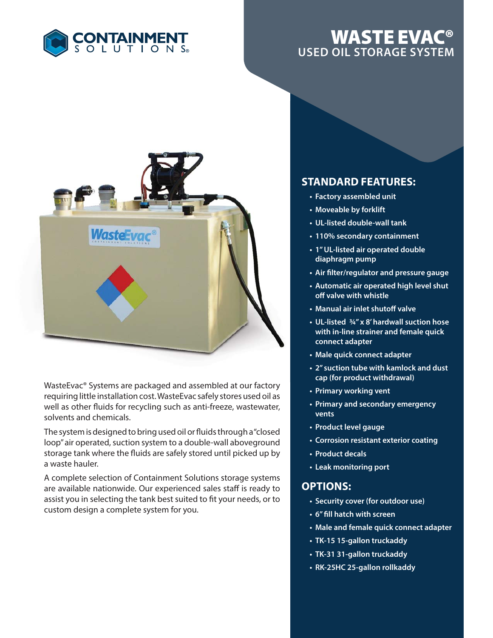

## **WASTE EVAC® USED OIL STORAGE SYSTEM**



WasteEvac® Systems are packaged and assembled at our factory requiring little installation cost. WasteEvac safely stores used oil as well as other fluids for recycling such as anti-freeze, wastewater, solvents and chemicals.

The system is designed to bring used oil or fluids through a "closed loop" air operated, suction system to a double-wall aboveground storage tank where the fluids are safely stored until picked up by a waste hauler.

A complete selection of Containment Solutions storage systems are available nationwide. Our experienced sales staff is ready to assist you in selecting the tank best suited to fit your needs, or to custom design a complete system for you.

## **STANDARD FEATURES:**

- **Factory assembled unit**
- **Moveable by forklift**
- **UL-listed double-wall tank**
- **110% secondary containment**
- **1" UL-listed air operated double diaphragm pump**
- **Air fi lter/regulator and pressure gauge**
- **Automatic air operated high level shut off valve with whistle**
- **Manual air inlet shutoff valve**
- **UL-listed ¾" x 8' hardwall suction hose with in-line strainer and female quick connect adapter**
- **Male quick connect adapter**
- **2" suction tube with kamlock and dust cap (for product withdrawal)**
- **Primary working vent**
- **Primary and secondary emergency vents**
- **Product level gauge**
- **Corrosion resistant exterior coating**
- **Product decals**
- **Leak monitoring port**

## **OPTIONS:**

- **Security cover (for outdoor use)**
- **6"** fill hatch with screen
- **Male and female quick connect adapter**
- **TK-15 15-gallon truckaddy**
- **TK-31 31-gallon truckaddy**
- **RK-25HC 25-gallon rollkaddy**